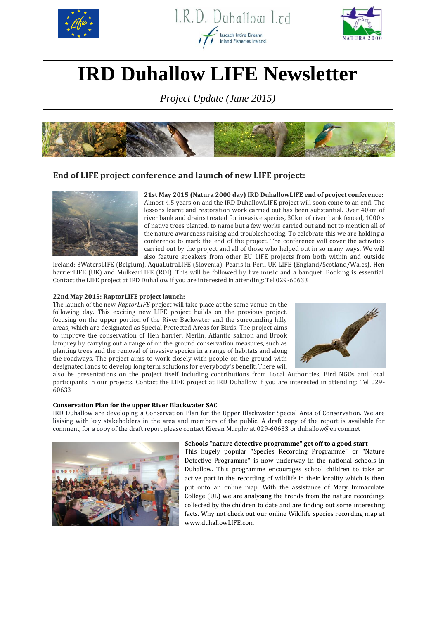





# **IRD Duhallow LIFE Newsletter**

*Project Update (June 2015)*



# **End of LIFE project conference and launch of new LIFE project:**



**21st May 2015 (Natura 2000 day) IRD DuhallowLIFE end of project conference:** Almost 4.5 years on and the IRD DuhallowLIFE project will soon come to an end. The lessons learnt and restoration work carried out has been substantial. Over 40km of river bank and drains treated for invasive species, 30km of river bank fenced, 1000's of native trees planted, to name but a few works carried out and not to mention all of the nature awareness raising and troubleshooting. To celebrate this we are holding a conference to mark the end of the project. The conference will cover the activities carried out by the project and all of those who helped out in so many ways. We will also feature speakers from other EU LIFE projects from both within and outside

Ireland: 3WatersLIFE (Belgium), AquaLutraLIFE (Slovenia), Pearls in Peril UK LIFE (England/Scotland/Wales), Hen harrierLIFE (UK) and MulkearLIFE (ROI). This will be followed by live music and a banquet. Booking is essential. Contact the LIFE project at IRD Duhallow if you are interested in attending: Tel 029-60633

## **22nd May 2015: RaptorLIFE project launch:**

The launch of the new *RaptorLIFE* project will take place at the same venue on the following day. This exciting new LIFE project builds on the previous project, focusing on the upper portion of the River Backwater and the surrounding hilly areas, which are designated as Special Protected Areas for Birds. The project aims to improve the conservation of Hen harrier, Merlin, Atlantic salmon and Brook lamprey by carrying out a range of on the ground conservation measures, such as planting trees and the removal of invasive species in a range of habitats and along the roadways. The project aims to work closely with people on the ground with designated lands to develop long term solutions for everybody's benefit. There will



also be presentations on the project itself including contributions from Local Authorities, Bird NGOs and local participants in our projects. Contact the LIFE project at IRD Duhallow if you are interested in attending: Tel 029- 60633

### **Conservation Plan for the upper River Blackwater SAC**

IRD Duhallow are developing a Conservation Plan for the Upper Blackwater Special Area of Conservation. We are liaising with key stakeholders in the area and members of the public. A draft copy of the report is available for comment, for a copy of the draft report please contact Kieran Murphy at 029-60633 or duhallow@eircom.net



#### **Schools "nature detective programme" get off to a good start**

This hugely popular "Species Recording Programme" or "Nature Detective Programme" is now underway in the national schools in Duhallow. This programme encourages school children to take an active part in the recording of wildlife in their locality which is then put onto an online map. With the assistance of Mary Immaculate College (UL) we are analysing the trends from the nature recordings collected by the children to date and are finding out some interesting facts. Why not check out our online Wildlife species recording map at www.duhallowLIFE.com